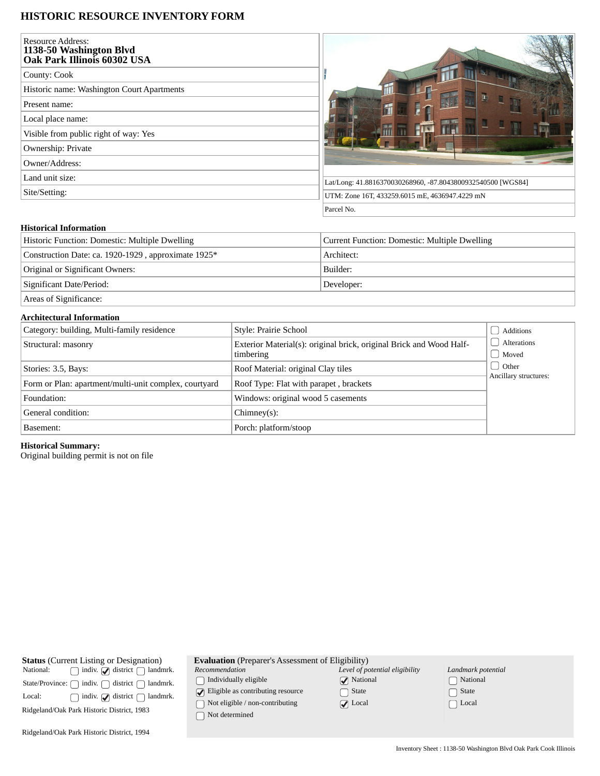# **HISTORIC RESOURCE INVENTORY FORM**

| <b>Resource Address:</b><br>1138-50 Washington Blvd<br>Oak Park Illinois 60302 USA |                                                             |
|------------------------------------------------------------------------------------|-------------------------------------------------------------|
| County: Cook                                                                       |                                                             |
| Historic name: Washington Court Apartments                                         |                                                             |
| Present name:                                                                      |                                                             |
| Local place name:                                                                  |                                                             |
| Visible from public right of way: Yes                                              |                                                             |
| Ownership: Private                                                                 |                                                             |
| Owner/Address:                                                                     |                                                             |
| Land unit size:                                                                    | Lat/Long: 41.8816370030268960, -87.8043800932540500 [WGS84] |
| Site/Setting:                                                                      | UTM: Zone 16T, 433259.6015 mE, 4636947.4229 mN              |
|                                                                                    | Parcel No.                                                  |

# **Historical Information**

| Historic Function: Domestic: Multiple Dwelling      | Current Function: Domestic: Multiple Dwelling |  |  |
|-----------------------------------------------------|-----------------------------------------------|--|--|
| Construction Date: ca. 1920-1929, approximate 1925* | Architect:                                    |  |  |
| Original or Significant Owners:                     | Builder:                                      |  |  |
| Significant Date/Period:                            | Developer:                                    |  |  |
| Areas of Significance:                              |                                               |  |  |

### **Architectural Information**

| Category: building, Multi-family residence            | Style: Prairie School                                                            | Additions                        |
|-------------------------------------------------------|----------------------------------------------------------------------------------|----------------------------------|
| Structural: masonry                                   | Exterior Material(s): original brick, original Brick and Wood Half-<br>timbering | Alterations<br>Moved             |
| Stories: 3.5, Bays:                                   | Roof Material: original Clay tiles                                               | d Other<br>Ancillary structures: |
| Form or Plan: apartment/multi-unit complex, courtyard | Roof Type: Flat with parapet, brackets                                           |                                  |
| Windows: original wood 5 casements<br>Foundation:     |                                                                                  |                                  |
| General condition:                                    | $Chimney(s)$ :                                                                   |                                  |
| Basement:                                             | Porch: platform/stoop                                                            |                                  |

# **Historical Summary:**

Original building permit is not on file

**Evaluation** (Preparer's Assessment of Eligibility)

*Recommendation*  $\hfill\textstyle\bigcap\textstyle\textstyle\bigcap\textstyle\textstyle\bigcap\textstyle\textstyle\textstyle\bigcap\textstyle\textstyle\bigcap\textstyle\textstyle\big$ 

 $\bigcirc$  Eligible as contributing resource

 $\hfill\textcolor{red}{\bigcirc}$  Not eligible / non-contributing

 $\bigcap$  Not determined

| Level of potential eligibility |
|--------------------------------|
| $\sqrt{\phantom{a}}$ National  |
| $\Box$ State                   |
| $\sqrt{ }$ Local               |

| Landmark potential      |
|-------------------------|
| [ ] National            |
| $\lceil \ \rceil$ State |
| $\Box$ Local            |

Ridgeland/Oak Park Historic District, 1994

**Status** (Current Listing or Designation)<br>National: and indiv. and istrict and land

 $\begin{minipage}[c]{0.9\linewidth} \textbf{State/Province:} \ \textcolor{red}{\bigcap} \ \textbf{indiv.} \ \textcolor{red}{\bigcap} \ \textbf{district} \ \textcolor{red}{\bigcap} \ \textbf{landmrk.} \end{minipage}$ Local:  $\bigcap$  indiv.  $\bigcirc$  district  $\bigcirc$  landmrk. Ridgeland/Oak Park Historic District, 1983

 $\Box$  indiv.  $\Box$  district  $\Box$  landmrk.